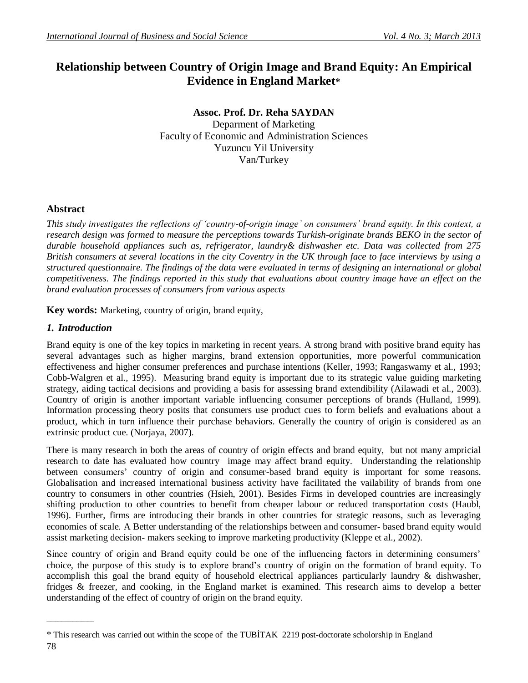# **Relationship between Country of Origin Image and Brand Equity: An Empirical Evidence in England Market\***

**Assoc. Prof. Dr. Reha SAYDAN** Deparment of Marketing Faculty of Economic and Administration Sciences Yuzuncu Yil University Van/Turkey

# **Abstract**

*This study investigates the reflections of "country-of-origin image" on consumers" brand equity. In this context, a research design was formed to measure the perceptions towards Turkish-originate brands BEKO in the sector of durable household appliances such as, refrigerator, laundry& dishwasher etc. Data was collected from 275 British consumers at several locations in the city Coventry in the UK through face to face interviews by using a structured questionnaire. The findings of the data were evaluated in terms of designing an international or global competitiveness. The findings reported in this study that evaluations about country image have an effect on the brand evaluation processes of consumers from various aspects*

**Key words:** Marketing, country of origin, brand equity,

# *1. Introduction*

Brand equity is one of the key topics in marketing in recent years. A strong brand with positive brand equity has several advantages such as higher margins, brand extension opportunities, more powerful communication effectiveness and higher consumer preferences and purchase intentions (Keller, 1993; Rangaswamy et al., 1993; Cobb-Walgren et al., 1995). Measuring brand equity is important due to its strategic value guiding marketing strategy, aiding tactical decisions and providing a basis for assessing brand extendibility (Ailawadi et al., 2003). Country of origin is another important variable influencing consumer perceptions of brands (Hulland, 1999). Information processing theory posits that consumers use product cues to form beliefs and evaluations about a product, which in turn influence their purchase behaviors. Generally the country of origin is considered as an extrinsic product cue. (Norjaya, 2007).

There is many research in both the areas of country of origin effects and brand equity, but not many ampricial research to date has evaluated how country image may affect brand equity. Understanding the relationship between consumers' country of origin and consumer-based brand equity is important for some reasons. Globalisation and increased international business activity have facilitated the vailability of brands from one country to consumers in other countries (Hsieh, 2001). Besides Firms in developed countries are increasingly shifting production to other countries to benefit from cheaper labour or reduced transportation costs (Haubl, 1996). Further, firms are introducing their brands in other countries for strategic reasons, such as leveraging economies of scale. A Better understanding of the relationships between and consumer- based brand equity would assist marketing decision- makers seeking to improve marketing productivity (Kleppe et al., 2002).

Since country of origin and Brand equity could be one of the influencing factors in determining consumers' choice, the purpose of this study is to explore brand"s country of origin on the formation of brand equity. To accomplish this goal the brand equity of household electrical appliances particularly laundry & dishwasher, fridges & freezer, and cooking, in the England market is examined. This research aims to develop a better understanding of the effect of country of origin on the brand equity.

 $\sim$   $\sim$   $\sim$   $\sim$   $\sim$   $\sim$   $\sim$   $\sim$ 

<sup>\*</sup> This research was carried out within the scope of the TUBİTAK 2219 post-doctorate scholorship in England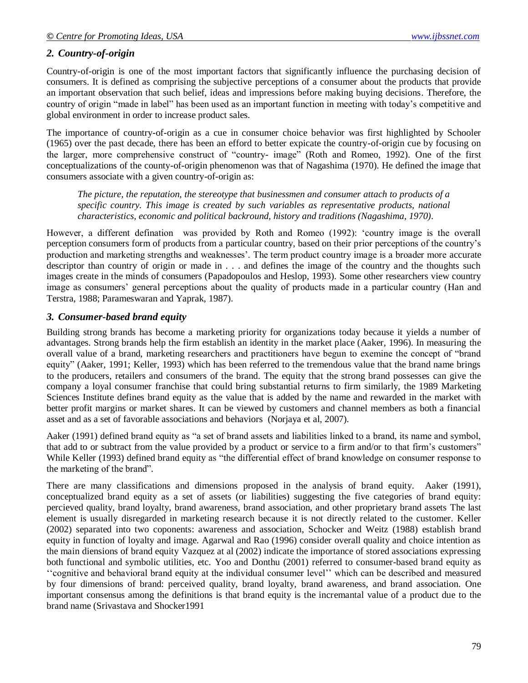# *2. Country-of-origin*

Country-of-origin is one of the most important factors that significantly influence the purchasing decision of consumers. It is defined as comprising the subjective perceptions of a consumer about the products that provide an important observation that such belief, ideas and impressions before making buying decisions. Therefore, the country of origin "made in label" has been used as an important function in meeting with today"s competitive and global environment in order to increase product sales.

The importance of country-of-origin as a cue in consumer choice behavior was first highlighted by Schooler (1965) over the past decade, there has been an efford to better expicate the country-of-origin cue by focusing on the larger, more comprehensive construct of "country- image" (Roth and Romeo, 1992). One of the first conceptualizations of the county-of-origin phenomenon was that of Nagashima (1970). He defined the image that consumers associate with a given country-of-origin as:

*The picture, the reputation, the stereotype that businessmen and consumer attach to products of a specific country. This image is created by such variables as representative products, national characteristics, economic and political backround, history and traditions (Nagashima, 1970).*

However, a different defination was provided by Roth and Romeo (1992): "country image is the overall perception consumers form of products from a particular country, based on their prior perceptions of the country"s production and marketing strengths and weaknesses". The term product country image is a broader more accurate descriptor than country of origin or made in . . . and defines the image of the country and the thoughts such images create in the minds of consumers (Papadopoulos and Heslop, 1993). Some other researchers view country image as consumers" general perceptions about the quality of products made in a particular country (Han and Terstra, 1988; Parameswaran and Yaprak, 1987).

# *3. Consumer-based brand equity*

Building strong brands has become a marketing priority for organizations today because it yields a number of advantages. Strong brands help the firm establish an identity in the market place (Aaker, 1996). In measuring the overall value of a brand, marketing researchers and practitioners have begun to exemine the concept of "brand equity" (Aaker, 1991; Keller, 1993) which has been referred to the tremendous value that the brand name brings to the producers, retailers and consumers of the brand. The equity that the strong brand possesses can give the company a loyal consumer franchise that could bring substantial returns to firm similarly, the 1989 Marketing Sciences Institute defines brand equity as the value that is added by the name and rewarded in the market with better profit margins or market shares. It can be viewed by customers and channel members as both a financial asset and as a set of favorable associations and behaviors (Norjaya et al, 2007).

Aaker (1991) defined brand equity as "a set of brand assets and liabilities linked to a brand, its name and symbol, that add to or subtract from the value provided by a product or service to a firm and/or to that firm"s customers" While Keller (1993) defined brand equity as "the differential effect of brand knowledge on consumer response to the marketing of the brand".

There are many classifications and dimensions proposed in the analysis of brand equity. Aaker (1991), conceptualized brand equity as a set of assets (or liabilities) suggesting the five categories of brand equity: percieved quality, brand loyalty, brand awareness, brand association, and other proprietary brand assets The last element is usually disregarded in marketing research because it is not directly related to the customer. Keller (2002) separated into two coponents: awareness and association, Schocker and Weitz (1988) establish brand equity in function of loyalty and image. Agarwal and Rao (1996) consider overall quality and choice intention as the main diensions of brand equity Vazquez at al (2002) indicate the importance of stored associations expressing both functional and symbolic utilities, etc. Yoo and Donthu (2001) referred to consumer-based brand equity as "cognitive and behavioral brand equity at the individual consumer level" which can be described and measured by four dimensions of brand: perceived quality, brand loyalty, brand awareness, and brand association. One important consensus among the definitions is that brand equity is the incremantal value of a product due to the brand name (Srivastava and Shocker1991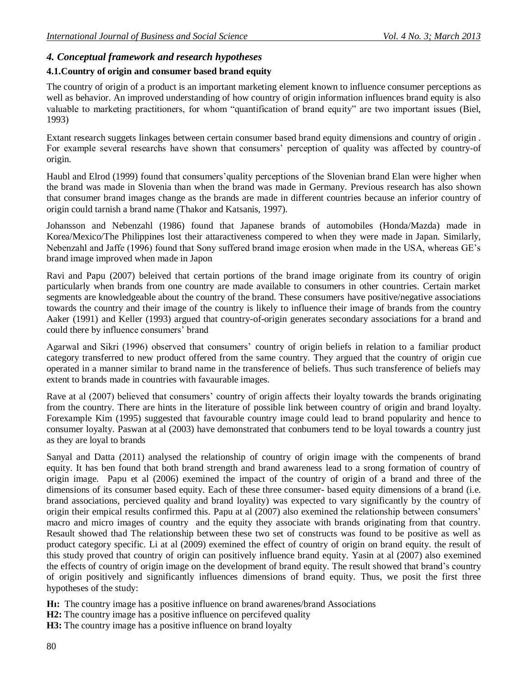# *4. Conceptual framework and research hypotheses*

### **4.1.Country of origin and consumer based brand equity**

The country of origin of a product is an important marketing element known to influence consumer perceptions as well as behavior. An improved understanding of how country of origin information influences brand equity is also valuable to marketing practitioners, for whom "quantification of brand equity" are two important issues (Biel, 1993)

Extant research suggets linkages between certain consumer based brand equity dimensions and country of origin . For example several researchs have shown that consumers' perception of quality was affected by country-of origin.

Haubl and Elrod (1999) found that consumers"quality perceptions of the Slovenian brand Elan were higher when the brand was made in Slovenia than when the brand was made in Germany. Previous research has also shown that consumer brand images change as the brands are made in different countries because an inferior country of origin could tarnish a brand name (Thakor and Katsanis, 1997).

Johansson and Nebenzahl (1986) found that Japanese brands of automobiles (Honda/Mazda) made in Korea/Mexico/The Philippines lost their attaractiveness compered to when they were made in Japan. Similarly, Nebenzahl and Jaffe (1996) found that Sony suffered brand image erosion when made in the USA, whereas GE"s brand image improved when made in Japon

Ravi and Papu (2007) beleived that certain portions of the brand image originate from its country of origin particularly when brands from one country are made available to consumers in other countries. Certain market segments are knowledgeable about the country of the brand. These consumers have positive/negative associations towards the country and their image of the country is likely to influence their image of brands from the country Aaker (1991) and Keller (1993) argued that country-of-origin generates secondary associations for a brand and could there by influence consumers" brand

Agarwal and Sikri (1996) observed that consumers' country of origin beliefs in relation to a familiar product category transferred to new product offered from the same country. They argued that the country of origin cue operated in a manner similar to brand name in the transference of beliefs. Thus such transference of beliefs may extent to brands made in countries with favaurable images.

Rave at al (2007) believed that consumers' country of origin affects their loyalty towards the brands originating from the country. There are hints in the literature of possible link between country of origin and brand loyalty. Forexample Kim (1995) suggested that favourable country image could lead to brand popularity and hence to consumer loyalty. Paswan at al (2003) have demonstrated that conbumers tend to be loyal towards a country just as they are loyal to brands

Sanyal and Datta (2011) analysed the relationship of country of origin image with the compenents of brand equity. It has ben found that both brand strength and brand awareness lead to a srong formation of country of origin image. Papu et al (2006) exemined the impact of the country of origin of a brand and three of the dimensions of its consumer based equity. Each of these three consumer- based equity dimensions of a brand (i.e. brand associations, percieved quality and brand loyality) was expected to vary significantly by the country of origin their empical results confirmed this. Papu at al (2007) also exemined the relationship between consumers" macro and micro images of country and the equity they associate with brands originating from that country. Resault showed thad The relationship between these two set of constructs was found to be positive as well as product category specific. Li at al (2009) exemined the effect of country of origin on brand equity. the result of this study proved that country of origin can positively influence brand equity. Yasin at al (2007) also exemined the effects of country of origin image on the development of brand equity. The result showed that brand"s country of origin positively and significantly influences dimensions of brand equity. Thus, we posit the first three hypotheses of the study:

**Hı:** The country image has a positive influence on brand awarenes/brand Associations

**H2:** The country image has a positive influence on percifeved quality

**H3:** The country image has a positive influence on brand loyalty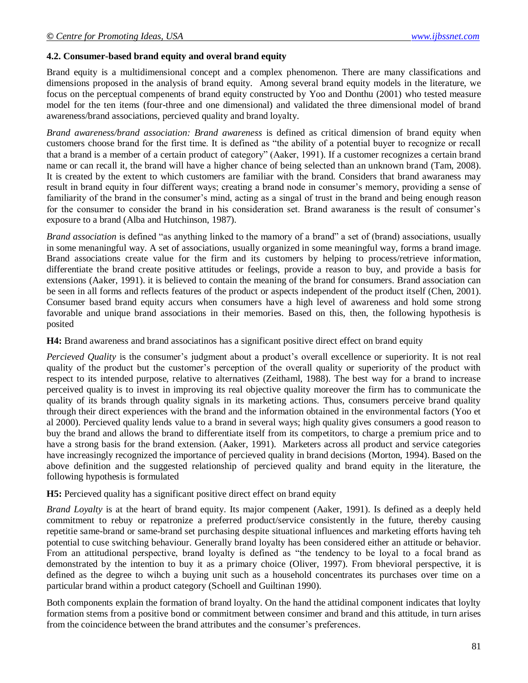#### **4.2. Consumer-based brand equity and overal brand equity**

Brand equity is a multidimensional concept and a complex phenomenon. There are many classifications and dimensions proposed in the analysis of brand equity. Among several brand equity models in the literature, we focus on the perceptual compenents of brand equity constructed by Yoo and Donthu (2001) who tested measure model for the ten items (four-three and one dimensional) and validated the three dimensional model of brand awareness/brand associations, percieved quality and brand loyalty.

*Brand awareness/brand association: Brand awareness* is defined as critical dimension of brand equity when customers choose brand for the first time. It is defined as "the ability of a potential buyer to recognize or recall that a brand is a member of a certain product of category" (Aaker, 1991). If a customer recognizes a certain brand name or can recall it, the brand will have a higher chance of being selected than an unknown brand (Tam, 2008). It is created by the extent to which customers are familiar with the brand. Considers that brand awaraness may result in brand equity in four different ways; creating a brand node in consumer"s memory, providing a sense of familiarity of the brand in the consumer's mind, acting as a singal of trust in the brand and being enough reason for the consumer to consider the brand in his consideration set. Brand awaraness is the result of consumer's exposure to a brand (Alba and Hutchinson, 1987).

*Brand association* is defined "as anything linked to the mamory of a brand" a set of (brand) associations, usually in some menaningful way. A set of associations, usually organized in some meaningful way, forms a brand image. Brand associations create value for the firm and its customers by helping to process/retrieve information, differentiate the brand create positive attitudes or feelings, provide a reason to buy, and provide a basis for extensions (Aaker, 1991). it is believed to contain the meaning of the brand for consumers. Brand association can be seen in all forms and reflects features of the product or aspects independent of the product itself (Chen, 2001). Consumer based brand equity accurs when consumers have a high level of awareness and hold some strong favorable and unique brand associations in their memories. Based on this, then, the following hypothesis is posited

**H4:** Brand awareness and brand associatinos has a significant positive direct effect on brand equity

*Percieved Quality* is the consumer's judgment about a product's overall excellence or superiority. It is not real quality of the product but the customer"s perception of the overall quality or superiority of the product with respect to its intended purpose, relative to alternatives (Zeithaml, 1988). The best way for a brand to increase perceived quality is to invest in improving its real objective quality moreover the firm has to communicate the quality of its brands through quality signals in its marketing actions. Thus, consumers perceive brand quality through their direct experiences with the brand and the information obtained in the environmental factors (Yoo et al 2000). Percieved quality lends value to a brand in several ways; high quality gives consumers a good reason to buy the brand and allows the brand to differentiate itself from its competitors, to charge a premium price and to have a strong basis for the brand extension. (Aaker, 1991). Marketers across all product and service categories have increasingly recognized the importance of percieved quality in brand decisions (Morton, 1994). Based on the above definition and the suggested relationship of percieved quality and brand equity in the literature, the following hypothesis is formulated

**H5:** Percieved quality has a significant positive direct effect on brand equity

*Brand Loyalty* is at the heart of brand equity. Its major compenent (Aaker, 1991). Is defined as a deeply held commitment to rebuy or repatronize a preferred product/service consistently in the future, thereby causing repetitie same-brand or same-brand set purchasing despite situational influences and marketing efforts having teh potential to cuse switching behaviour. Generally brand loyalty has been considered either an attitude or behavior. From an attitudional perspective, brand loyalty is defined as "the tendency to be loyal to a focal brand as demonstrated by the intention to buy it as a primary choice (Oliver, 1997). From bhevioral perspective, it is defined as the degree to wihch a buying unit such as a household concentrates its purchases over time on a particular brand within a product category (Schoell and Guiltinan 1990).

Both components explain the formation of brand loyalty. On the hand the attidinal component indicates that loylty formation stems from a positive bond or commitment between consimer and brand and this attitude, in turn arises from the coincidence between the brand attributes and the consumer's preferences.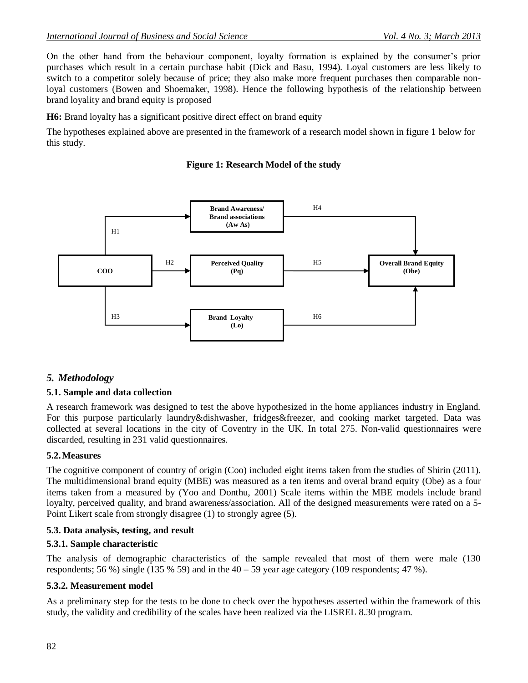On the other hand from the behaviour component, loyalty formation is explained by the consumer"s prior purchases which result in a certain purchase habit (Dick and Basu, 1994). Loyal customers are less likely to switch to a competitor solely because of price; they also make more frequent purchases then comparable nonloyal customers (Bowen and Shoemaker, 1998). Hence the following hypothesis of the relationship between brand loyality and brand equity is proposed

**H6:** Brand loyalty has a significant positive direct effect on brand equity

The hypotheses explained above are presented in the framework of a research model shown in figure 1 below for this study.

#### **Figure 1: Research Model of the study**



### *5. Methodology*

#### **5.1. Sample and data collection**

A research framework was designed to test the above hypothesized in the home appliances industry in England. For this purpose particularly laundry&dishwasher, fridges&freezer, and cooking market targeted. Data was collected at several locations in the city of Coventry in the UK. In total 275. Non-valid questionnaires were discarded, resulting in 231 valid questionnaires.

#### **5.2.Measures**

The cognitive component of country of origin (Coo) included eight items taken from the studies of Shirin (2011). The multidimensional brand equity (MBE) was measured as a ten items and overal brand equity (Obe) as a four items taken from a measured by (Yoo and Donthu, 2001) Scale items within the MBE models include brand loyalty, perceived quality, and brand awareness/association. All of the designed measurements were rated on a 5-Point Likert scale from strongly disagree (1) to strongly agree (5).

#### **5.3. Data analysis, testing, and result**

#### **5.3.1. Sample characteristic**

The analysis of demographic characteristics of the sample revealed that most of them were male (130 respondents; 56 %) single (135 % 59) and in the 40 – 59 year age category (109 respondents; 47 %).

#### **5.3.2. Measurement model**

As a preliminary step for the tests to be done to check over the hypotheses asserted within the framework of this study, the validity and credibility of the scales have been realized via the LISREL 8.30 program.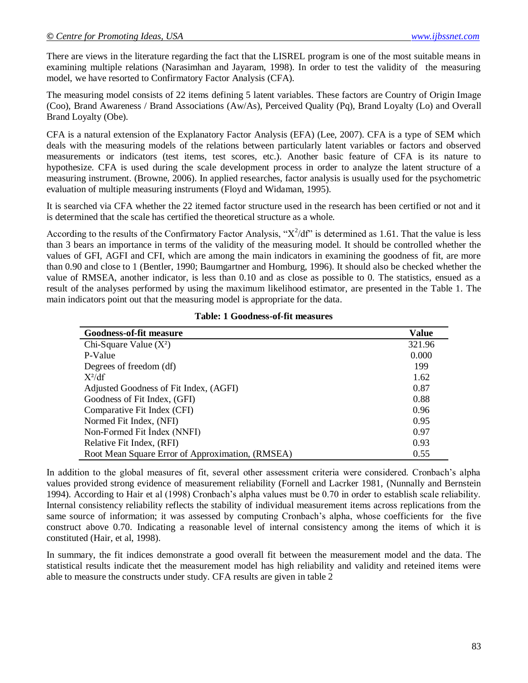There are views in the literature regarding the fact that the LISREL program is one of the most suitable means in examining multiple relations (Narasimhan and Jayaram, 1998). In order to test the validity of the measuring model, we have resorted to Confirmatory Factor Analysis (CFA).

The measuring model consists of 22 items defining 5 latent variables. These factors are Country of Origin Image (Coo), Brand Awareness / Brand Associations (Aw/As), Perceived Quality (Pq), Brand Loyalty (Lo) and Overall Brand Loyalty (Obe).

CFA is a natural extension of the Explanatory Factor Analysis (EFA) (Lee, 2007). CFA is a type of SEM which deals with the measuring models of the relations between particularly latent variables or factors and observed measurements or indicators (test items, test scores, etc.). Another basic feature of CFA is its nature to hypothesize. CFA is used during the scale development process in order to analyze the latent structure of a measuring instrument. (Browne, 2006). In applied researches, factor analysis is usually used for the psychometric evaluation of multiple measuring instruments (Floyd and Widaman, 1995).

It is searched via CFA whether the 22 itemed factor structure used in the research has been certified or not and it is determined that the scale has certified the theoretical structure as a whole.

According to the results of the Confirmatory Factor Analysis, " $X^2/df$ " is determined as 1.61. That the value is less than 3 bears an importance in terms of the validity of the measuring model. It should be controlled whether the values of GFI, AGFI and CFI, which are among the main indicators in examining the goodness of fit, are more than 0.90 and close to 1 (Bentler, 1990; Baumgartner and Homburg, 1996). It should also be checked whether the value of RMSEA, another indicator, is less than 0.10 and as close as possible to 0. The statistics, ensued as a result of the analyses performed by using the maximum likelihood estimator, are presented in the Table 1. The main indicators point out that the measuring model is appropriate for the data.

| <b>Goodness-of-fit measure</b>                   | Value  |
|--------------------------------------------------|--------|
| Chi-Square Value $(X^2)$                         | 321.96 |
| P-Value                                          | 0.000  |
| Degrees of freedom (df)                          | 199    |
| $X^2/df$                                         | 1.62   |
| Adjusted Goodness of Fit Index, (AGFI)           | 0.87   |
| Goodness of Fit Index, (GFI)                     | 0.88   |
| Comparative Fit Index (CFI)                      | 0.96   |
| Normed Fit Index, (NFI)                          | 0.95   |
| Non-Formed Fit Index (NNFI)                      | 0.97   |
| Relative Fit Index, (RFI)                        | 0.93   |
| Root Mean Square Error of Approximation, (RMSEA) | 0.55   |

**Table: 1 Goodness-of-fit measures**

In addition to the global measures of fit, several other assessment criteria were considered. Cronbach"s alpha values provided strong evidence of measurement reliability (Fornell and Lacrker 1981, (Nunnally and Bernstein 1994). According to Hair et al (1998) Cronbach"s alpha values must be 0.70 in order to establish scale reliability. Internal consistency reliability reflects the stability of individual measurement items across replications from the same source of information; it was assessed by computing Cronbach's alpha, whose coefficients for the five construct above 0.70. Indicating a reasonable level of internal consistency among the items of which it is constituted (Hair, et al, 1998).

In summary, the fit indices demonstrate a good overall fit between the measurement model and the data. The statistical results indicate thet the measurement model has high reliability and validity and reteined items were able to measure the constructs under study. CFA results are given in table 2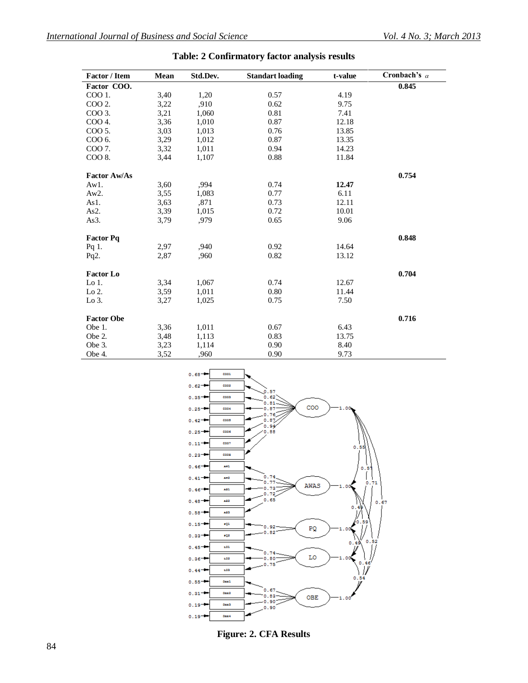| <b>Factor / Item</b> | <b>Mean</b> | Std.Dev. | <b>Standart loading</b> | t-value | Cronbach's $\alpha$ |
|----------------------|-------------|----------|-------------------------|---------|---------------------|
| Factor COO.          |             |          |                         |         | 0.845               |
| COO 1.               | 3,40        | 1,20     | 0.57                    | 4.19    |                     |
| COO 2.               | 3,22        | ,910     | 0.62                    | 9.75    |                     |
| COO 3.               | 3,21        | 1,060    | 0.81                    | 7.41    |                     |
| COO 4.               | 3,36        | 1,010    | 0.87                    | 12.18   |                     |
| COO 5.               | 3,03        | 1,013    | 0.76                    | 13.85   |                     |
| COO 6.               | 3,29        | 1,012    | 0.87                    | 13.35   |                     |
| COO 7.               | 3,32        | 1,011    | 0.94                    | 14.23   |                     |
| COO 8.               | 3,44        | 1,107    | 0.88                    | 11.84   |                     |
| <b>Factor Aw/As</b>  |             |          |                         |         | 0.754               |
| Aw1.                 | 3,60        | ,994     | 0.74                    | 12.47   |                     |
| Aw2.                 | 3,55        | 1,083    | 0.77                    | 6.11    |                     |
| As1.                 | 3,63        | ,871     | 0.73                    | 12.11   |                     |
| As2.                 | 3,39        | 1,015    | 0.72                    | 10.01   |                     |
| As3.                 | 3,79        | ,979     | 0.65                    | 9.06    |                     |
| <b>Factor Pq</b>     |             |          |                         |         | 0.848               |
| Pq 1.                | 2,97        | ,940     | 0.92                    | 14.64   |                     |
| Pq2.                 | 2,87        | .960     | 0.82                    | 13.12   |                     |
| <b>Factor Lo</b>     |             |          |                         |         | 0.704               |
| $Lo1$ .              | 3,34        | 1,067    | 0.74                    | 12.67   |                     |
| Lo 2.                | 3,59        | 1,011    | 0.80                    | 11.44   |                     |
| Lo 3.                | 3,27        | 1,025    | 0.75                    | 7.50    |                     |
| <b>Factor Obe</b>    |             |          |                         |         | 0.716               |
| Obe 1.               | 3,36        | 1,011    | 0.67                    | 6.43    |                     |
| Obe 2.               | 3,48        | 1,113    | 0.83                    | 13.75   |                     |
| Obe 3.               | 3,23        | 1,114    | 0.90                    | 8.40    |                     |
| Obe 4.               | 3,52        | .960     | 0.90                    | 9.73    |                     |

### **Table: 2 Confirmatory factor analysis results**



**Figure: 2. CFA Results**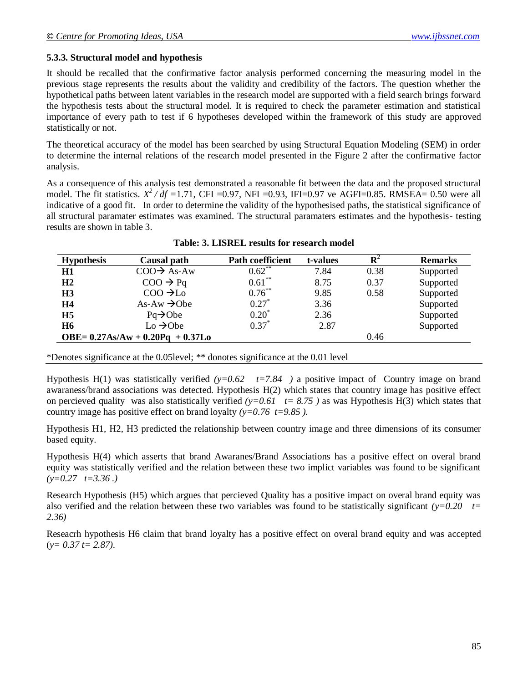### **5.3.3. Structural model and hypothesis**

It should be recalled that the confirmative factor analysis performed concerning the measuring model in the previous stage represents the results about the validity and credibility of the factors. The question whether the hypothetical paths between latent variables in the research model are supported with a field search brings forward the hypothesis tests about the structural model. It is required to check the parameter estimation and statistical importance of every path to test if 6 hypotheses developed within the framework of this study are approved statistically or not.

The theoretical accuracy of the model has been searched by using Structural Equation Modeling (SEM) in order to determine the internal relations of the research model presented in the Figure 2 after the confirmative factor analysis.

As a consequence of this analysis test demonstrated a reasonable fit between the data and the proposed structural model. The fit statistics.  $X^2/df = 1.71$ , CFI =0.97, NFI =0.93, IFI=0.97 ve AGFI=0.85. RMSEA= 0.50 were all indicative of a good fit. In order to determine the validity of the hypothesised paths, the statistical significance of all structural paramater estimates was examined. The structural paramaters estimates and the hypothesis- testing results are shown in table 3.

| <b>Hypothesis</b>                           | Causal path               | <b>Path coefficient</b> | t-values |      | <b>Remarks</b> |
|---------------------------------------------|---------------------------|-------------------------|----------|------|----------------|
| H1                                          | $COO \rightarrow A s$ -Aw | $0.62$ **               | 7.84     | 0.38 | Supported      |
| H <sub>2</sub>                              | $COO \rightarrow Pq$      | $0.61***$               | 8.75     | 0.37 | Supported      |
| H <sub>3</sub>                              | $COO \rightarrow Lo$      | $0.76***$               | 9.85     | 0.58 | Supported      |
| <b>H4</b>                                   | $As-Aw \rightarrow Obe$   | $0.27*$                 | 3.36     |      | Supported      |
| H <sub>5</sub>                              | $Pq \rightarrow Obe$      | $0.20^*$                | 2.36     |      | Supported      |
| <b>H6</b>                                   | $Lo \rightarrow Obe$      | $0.37*$                 | 2.87     |      | Supported      |
| $OBE = 0.27As/Aw + 0.20Pq + 0.37Lo$<br>0.46 |                           |                         |          |      |                |

|  |  | Table: 3. LISREL results for research model |  |
|--|--|---------------------------------------------|--|
|  |  |                                             |  |

\*Denotes significance at the 0.05level; \*\* donotes significance at the 0.01 level

Hypothesis H(1) was statistically verified  $(y=0.62 \quad t=7.84$  ) a positive impact of Country image on brand awaraness/brand associations was detected. Hypothesis H(2) which states that country image has positive effect on percieved quality was also statistically verified  $(y=0.61 \text{ t} = 8.75)$  as was Hypothesis H(3) which states that country image has positive effect on brand loyalty  $(y=0.76 \text{ t}=9.85)$ .

Hypothesis H1, H2, H3 predicted the relationship between country image and three dimensions of its consumer based equity.

Hypothesis H(4) which asserts that brand Awaranes/Brand Associations has a positive effect on overal brand equity was statistically verified and the relation between these two implict variables was found to be significant  $(y=0.27 \quad t=3.36)$ 

Research Hypothesis (H5) which argues that percieved Quality has a positive impact on overal brand equity was also verified and the relation between these two variables was found to be statistically significant *(y=0.20 t= 2.36)*

Reseacrh hypothesis H6 claim that brand loyalty has a positive effect on overal brand equity and was accepted (*y= 0.37 t= 2.87).*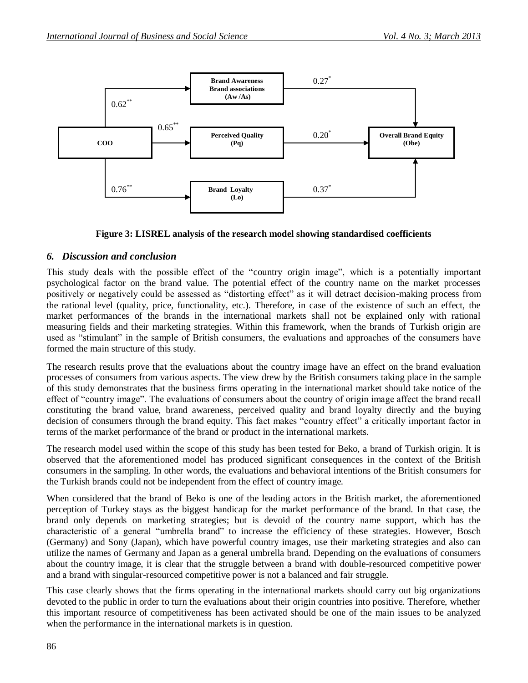



### *6. Discussion and conclusion*

This study deals with the possible effect of the "country origin image", which is a potentially important psychological factor on the brand value. The potential effect of the country name on the market processes positively or negatively could be assessed as "distorting effect" as it will detract decision-making process from the rational level (quality, price, functionality, etc.). Therefore, in case of the existence of such an effect, the market performances of the brands in the international markets shall not be explained only with rational measuring fields and their marketing strategies. Within this framework, when the brands of Turkish origin are used as "stimulant" in the sample of British consumers, the evaluations and approaches of the consumers have formed the main structure of this study.

The research results prove that the evaluations about the country image have an effect on the brand evaluation processes of consumers from various aspects. The view drew by the British consumers taking place in the sample of this study demonstrates that the business firms operating in the international market should take notice of the effect of "country image". The evaluations of consumers about the country of origin image affect the brand recall constituting the brand value, brand awareness, perceived quality and brand loyalty directly and the buying decision of consumers through the brand equity. This fact makes "country effect" a critically important factor in terms of the market performance of the brand or product in the international markets.

The research model used within the scope of this study has been tested for Beko, a brand of Turkish origin. It is observed that the aforementioned model has produced significant consequences in the context of the British consumers in the sampling. In other words, the evaluations and behavioral intentions of the British consumers for the Turkish brands could not be independent from the effect of country image.

When considered that the brand of Beko is one of the leading actors in the British market, the aforementioned perception of Turkey stays as the biggest handicap for the market performance of the brand. In that case, the brand only depends on marketing strategies; but is devoid of the country name support, which has the characteristic of a general "umbrella brand" to increase the efficiency of these strategies. However, Bosch (Germany) and Sony (Japan), which have powerful country images, use their marketing strategies and also can utilize the names of Germany and Japan as a general umbrella brand. Depending on the evaluations of consumers about the country image, it is clear that the struggle between a brand with double-resourced competitive power and a brand with singular-resourced competitive power is not a balanced and fair struggle.

This case clearly shows that the firms operating in the international markets should carry out big organizations devoted to the public in order to turn the evaluations about their origin countries into positive. Therefore, whether this important resource of competitiveness has been activated should be one of the main issues to be analyzed when the performance in the international markets is in question.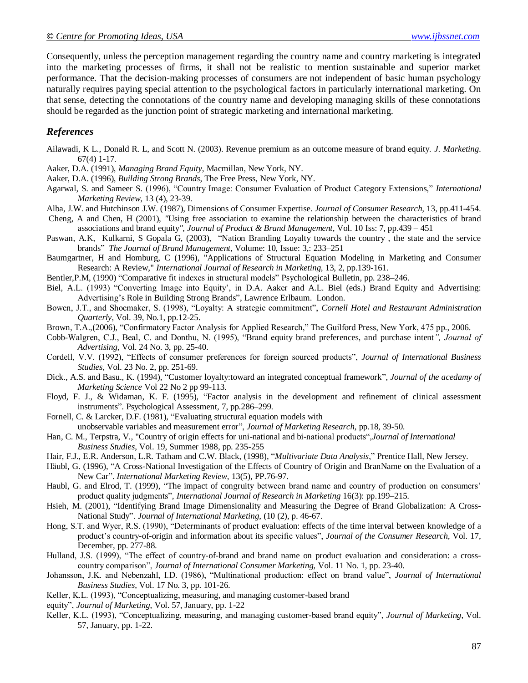Consequently, unless the perception management regarding the country name and country marketing is integrated into the marketing processes of firms, it shall not be realistic to mention sustainable and superior market performance. That the decision-making processes of consumers are not independent of basic human psychology naturally requires paying special attention to the psychological factors in particularly international marketing. On that sense, detecting the connotations of the country name and developing managing skills of these connotations should be regarded as the junction point of strategic marketing and international marketing.

#### *References*

- Ailawadi, K L., Donald R. L, and Scott N. (2003). Revenue premium as an outcome measure of brand equity. *J. Marketing.*  67(4) 1-17.
- Aaker, D.A. (1991), *Managing Brand Equity*, Macmillan, New York, NY.
- Aaker, D.A. (1996), *Building Strong Brands*, The Free Press, New York, NY.
- Agarwal, S. and Sameer S. (1996), "Country Image: Consumer Evaluation of Product Category Extensions," *International Marketing Review*, 13 (4), 23-39.
- Alba, J.W. and Hutchinson J.W. (1987), Dimensions of Consumer Expertise. *Journal of Consumer Research,* 13, pp.411-454.
- Cheng, A and Chen, H (2001), *"*Using free association to examine the relationship between the characteristics of brand associations and brand equity*", Journal of Product & Brand Management,* Vol. 10 Iss: 7, pp.439 – 451
- Paswan, A.K, Kulkarni, S Gopala G, (2003), "Nation Branding Loyalty towards the country , the state and the service brands" *The Journal of Brand Management*, Volume: 10, Issue: 3,: 233–251
- Baumgartner, H and Homburg, C (1996), "Applications of Structural Equation Modeling in Marketing and Consumer Research: A Review," *International Journal of Research in Marketing,* 13, 2, pp.139-161.
- Bentler,P.M, (1990) "Comparative fit indexes in structural models" Psychological Bulletin, pp. 238–246.
- Biel, A.L. (1993) "Converting Image into Equity', in D.A. Aaker and A.L. Biel (eds.) Brand Equity and Advertising: Advertising's Role in Building Strong Brands", Lawrence Erlbaum. London.
- Bowen, J.T., and Shoemaker, S. (1998), "Loyalty: A strategic commitment", *Cornell Hotel and Restaurant Administration Quarterly*, Vol. 39, No.1, pp.12-25.
- Brown, T.A.,(2006), "Confirmatory Factor Analysis for Applied Research," The Guilford Press, New York, 475 pp., 2006.
- Cobb-Walgren, C.J., Beal, C. and Donthu, N. (1995), "Brand equity brand preferences, and purchase intent*", Journal of Advertising*, Vol. 24 No. 3, pp. 25-40.
- Cordell, V.V. (1992), "Effects of consumer preferences for foreign sourced products", *Journal of International Business Studies*, Vol. 23 No. 2, pp. 251-69.
- Dick., A.S. and Basu., K. (1994), "Customer loyalty:toward an integrated conceptual framework", *Journal of the acedamy of Marketing Science* Vol 22 No 2 pp 99-113.
- Floyd, F. J., & Widaman, K. F. (1995), "Factor analysis in the development and refinement of clinical assessment instruments". Psychological Assessment, 7, pp.286–299.
- Fornell, C. & Larcker, D.F. (1981), "Evaluating structural equation models with unobservable variables and measurement error", *Journal of Marketing Research*, pp.18, 39-50.
- Han, C. M., Terpstra, V., "Country of origin effects for uni-national and bi-national products",*Journal of International Business Studies*, Vol. 19, Summer 1988, pp. 235-255
- Hair, F.J., E.R. Anderson, L.R. Tatham and C.W. Black, (1998), "*Multivariate Data Analysis*," Prentice Hall, New Jersey.
- Häubl, G. (1996), "A Cross-National Investigation of the Effects of Country of Origin and BranName on the Evaluation of a New Car". *International Marketing Review*, 13(5), PP.76-97.
- Haubl, G. and Elrod, T. (1999), "The impact of congruity between brand name and country of production on consumers" product quality judgments", *International Journal of Research in Marketing* 16(3): pp.199–215.
- Hsieh, M. (2001), "Identifying Brand Image Dimensionality and Measuring the Degree of Brand Globalization: A Cross-National Study". *Journal of International Marketing*, (10 (2), p. 46-67.
- Hong, S.T. and Wyer, R.S. (1990), "Determinants of product evaluation: effects of the time interval between knowledge of a product"s country-of-origin and information about its specific values", *Journal of the Consumer Research*, Vol. 17, December, pp. 277-88.
- Hulland, J.S. (1999), "The effect of country-of-brand and brand name on product evaluation and consideration: a crosscountry comparison", *Journal of International Consumer Marketing,* Vol. 11 No. 1, pp. 23-40.
- Johansson, J.K. and Nebenzahl, I.D. (1986), "Multinational production: effect on brand value", *Journal of International Business Studies*, Vol. 17 No. 3, pp. 101-26.
- Keller, K.L. (1993), "Conceptualizing, measuring, and managing customer-based brand
- equity", *Journal of Marketing*, Vol. 57, January, pp. 1-22
- Keller, K.L. (1993), "Conceptualizing, measuring, and managing customer-based brand equity", *Journal of Marketing*, Vol. 57, January, pp. 1-22.